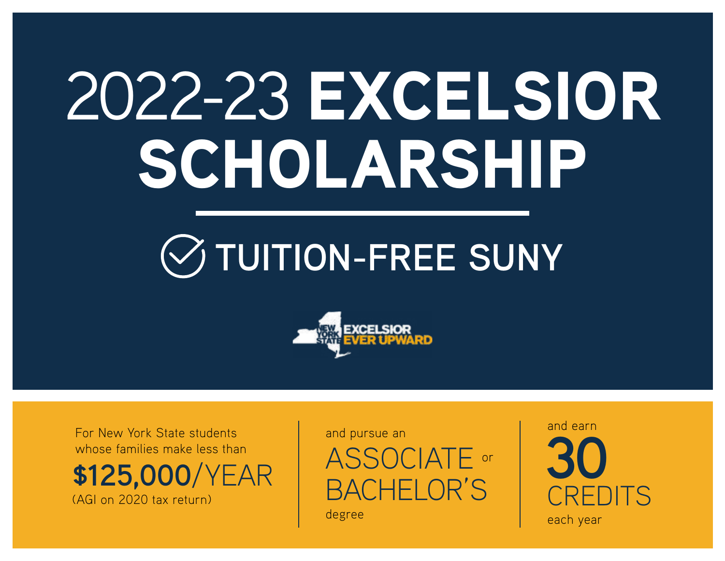# 2022-23 EXCELSIOR SCHOLARSHIP





For New York State students whose families make less than

**\$125,000**/YEAR (AGI on 2020 tax return)

and pursue an

ASSOCIATE or BACHELOR'S

degree

**30** CREDITS each year

and earn